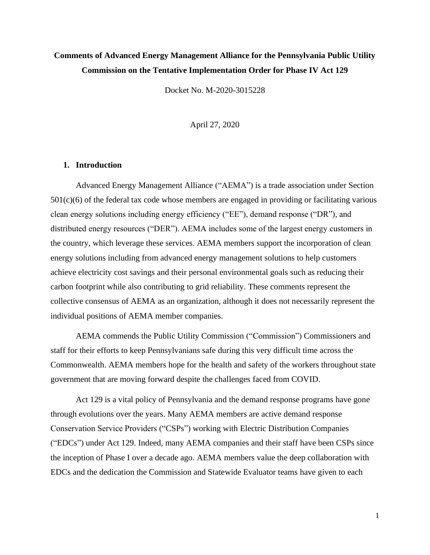# **Comments of Advanced Energy Management Alliance for the Pennsylvania Public Utility Commission on the Tentative Implementation Order for Phase IV Act 129**

Docket No. M-2020-3015228

April 27, 2020

#### **1. Introduction**

Advanced Energy Management Alliance ("AEMA") is a trade association under Section  $501(c)(6)$  of the federal tax code whose members are engaged in providing or facilitating various clean energy solutions including energy efficiency ("EE"), demand response ("DR"), and distributed energy resources ("DER"). AEMA includes some of the largest energy customers in the country, which leverage these services. AEMA members support the incorporation of clean energy solutions including from advanced energy management solutions to help customers achieve electricity cost savings and their personal environmental goals such as reducing their carbon footprint while also contributing to grid reliability. These comments represent the collective consensus of AEMA as an organization, although it does not necessarily represent the individual positions of AEMA member companies.

AEMA commends the Public Utility Commission ("Commission") Commissioners and staff for their efforts to keep Pennsylvanians safe during this very difficult time across the Commonwealth. AEMA members hope for the health and safety of the workers throughout state government that are moving forward despite the challenges faced from COVID.

Act 129 is a vital policy of Pennsylvania and the demand response programs have gone through evolutions over the years. Many AEMA members are active demand response Conservation Service Providers ("CSPs") working with Electric Distribution Companies ("EDCs") under Act 129. Indeed, many AEMA companies and their staff have been CSPs since the inception of Phase I over a decade ago. AEMA members value the deep collaboration with EDCs and the dedication the Commission and Statewide Evaluator teams have given to each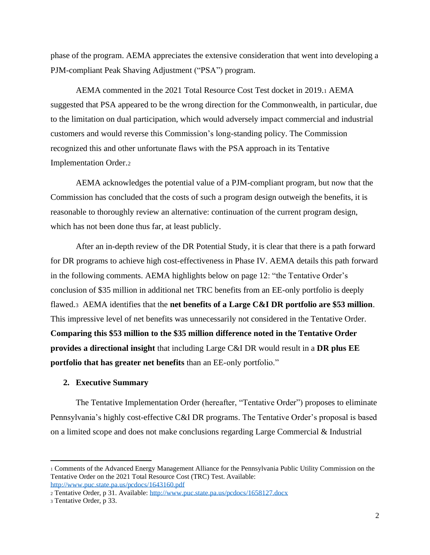phase of the program. AEMA appreciates the extensive consideration that went into developing a PJM-compliant Peak Shaving Adjustment ("PSA") program.

AEMA commented in the 2021 Total Resource Cost Test docket in 2019.<sup>1</sup> AEMA suggested that PSA appeared to be the wrong direction for the Commonwealth, in particular, due to the limitation on dual participation, which would adversely impact commercial and industrial customers and would reverse this Commission's long-standing policy. The Commission recognized this and other unfortunate flaws with the PSA approach in its Tentative Implementation Order.<sup>2</sup>

AEMA acknowledges the potential value of a PJM-compliant program, but now that the Commission has concluded that the costs of such a program design outweigh the benefits, it is reasonable to thoroughly review an alternative: continuation of the current program design, which has not been done thus far, at least publicly.

After an in-depth review of the DR Potential Study, it is clear that there is a path forward for DR programs to achieve high cost-effectiveness in Phase IV. AEMA details this path forward in the following comments. AEMA highlights below on page 12: "the Tentative Order's conclusion of \$35 million in additional net TRC benefits from an EE-only portfolio is deeply flawed.3 AEMA identifies that the **net benefits of a Large C&I DR portfolio are \$53 million**. This impressive level of net benefits was unnecessarily not considered in the Tentative Order. **Comparing this \$53 million to the \$35 million difference noted in the Tentative Order provides a directional insight** that including Large C&I DR would result in a **DR plus EE portfolio that has greater net benefits** than an EE-only portfolio."

### **2. Executive Summary**

The Tentative Implementation Order (hereafter, "Tentative Order") proposes to eliminate Pennsylvania's highly cost-effective C&I DR programs. The Tentative Order's proposal is based on a limited scope and does not make conclusions regarding Large Commercial & Industrial

<sup>1</sup> Comments of the Advanced Energy Management Alliance for the Pennsylvania Public Utility Commission on the Tentative Order on the 2021 Total Resource Cost (TRC) Test. Available: <http://www.puc.state.pa.us/pcdocs/1643160.pdf>

<sup>2</sup> Tentative Order, p 31. Available:<http://www.puc.state.pa.us/pcdocs/1658127.docx>

<sup>3</sup> Tentative Order, p 33.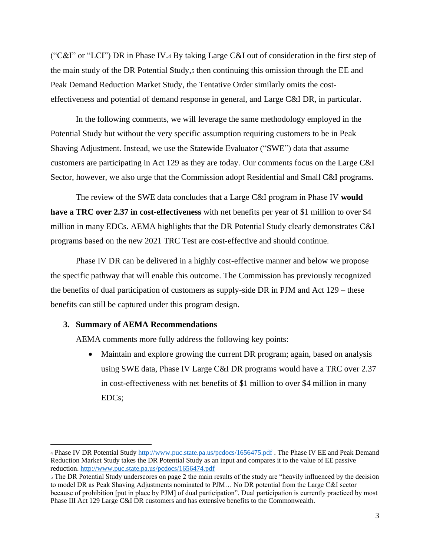("C&I" or "LCI") DR in Phase IV.<sup>4</sup> By taking Large C&I out of consideration in the first step of the main study of the DR Potential Study, then continuing this omission through the EE and Peak Demand Reduction Market Study, the Tentative Order similarly omits the costeffectiveness and potential of demand response in general, and Large C&I DR, in particular.

In the following comments, we will leverage the same methodology employed in the Potential Study but without the very specific assumption requiring customers to be in Peak Shaving Adjustment. Instead, we use the Statewide Evaluator ("SWE") data that assume customers are participating in Act 129 as they are today. Our comments focus on the Large C&I Sector, however, we also urge that the Commission adopt Residential and Small C&I programs.

The review of the SWE data concludes that a Large C&I program in Phase IV **would have a TRC over 2.37 in cost-effectiveness** with net benefits per year of \$1 million to over \$4 million in many EDCs. AEMA highlights that the DR Potential Study clearly demonstrates C&I programs based on the new 2021 TRC Test are cost-effective and should continue.

Phase IV DR can be delivered in a highly cost-effective manner and below we propose the specific pathway that will enable this outcome. The Commission has previously recognized the benefits of dual participation of customers as supply-side DR in PJM and Act 129 – these benefits can still be captured under this program design.

#### **3. Summary of AEMA Recommendations**

AEMA comments more fully address the following key points:

• Maintain and explore growing the current DR program; again, based on analysis using SWE data, Phase IV Large C&I DR programs would have a TRC over 2.37 in cost-effectiveness with net benefits of \$1 million to over \$4 million in many EDCs;

<sup>4</sup> Phase IV DR Potential Study<http://www.puc.state.pa.us/pcdocs/1656475.pdf> . The Phase IV EE and Peak Demand Reduction Market Study takes the DR Potential Study as an input and compares it to the value of EE passive reduction.<http://www.puc.state.pa.us/pcdocs/1656474.pdf>

<sup>5</sup> The DR Potential Study underscores on page 2 the main results of the study are "heavily influenced by the decision to model DR as Peak Shaving Adjustments nominated to PJM… No DR potential from the Large C&I sector because of prohibition [put in place by PJM] of dual participation". Dual participation is currently practiced by most Phase III Act 129 Large C&I DR customers and has extensive benefits to the Commonwealth.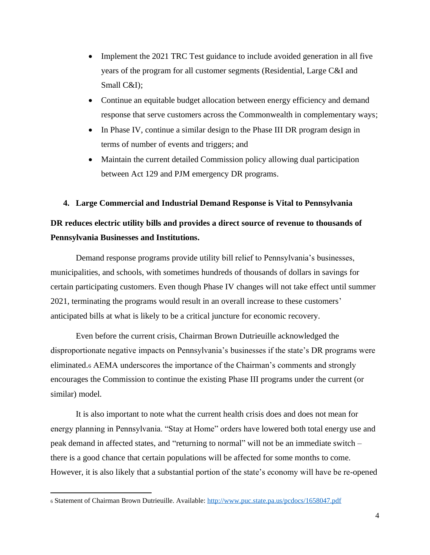- Implement the 2021 TRC Test guidance to include avoided generation in all five years of the program for all customer segments (Residential, Large C&I and Small C&I);
- Continue an equitable budget allocation between energy efficiency and demand response that serve customers across the Commonwealth in complementary ways;
- In Phase IV, continue a similar design to the Phase III DR program design in terms of number of events and triggers; and
- Maintain the current detailed Commission policy allowing dual participation between Act 129 and PJM emergency DR programs.

#### **4. Large Commercial and Industrial Demand Response is Vital to Pennsylvania**

### **DR reduces electric utility bills and provides a direct source of revenue to thousands of Pennsylvania Businesses and Institutions.**

Demand response programs provide utility bill relief to Pennsylvania's businesses, municipalities, and schools, with sometimes hundreds of thousands of dollars in savings for certain participating customers. Even though Phase IV changes will not take effect until summer 2021, terminating the programs would result in an overall increase to these customers' anticipated bills at what is likely to be a critical juncture for economic recovery.

Even before the current crisis, Chairman Brown Dutrieuille acknowledged the disproportionate negative impacts on Pennsylvania's businesses if the state's DR programs were eliminated.<sup>6</sup> AEMA underscores the importance of the Chairman's comments and strongly encourages the Commission to continue the existing Phase III programs under the current (or similar) model.

It is also important to note what the current health crisis does and does not mean for energy planning in Pennsylvania. "Stay at Home" orders have lowered both total energy use and peak demand in affected states, and "returning to normal" will not be an immediate switch – there is a good chance that certain populations will be affected for some months to come. However, it is also likely that a substantial portion of the state's economy will have be re-opened

<sup>6</sup> Statement of Chairman Brown Dutrieuille. Available:<http://www.puc.state.pa.us/pcdocs/1658047.pdf>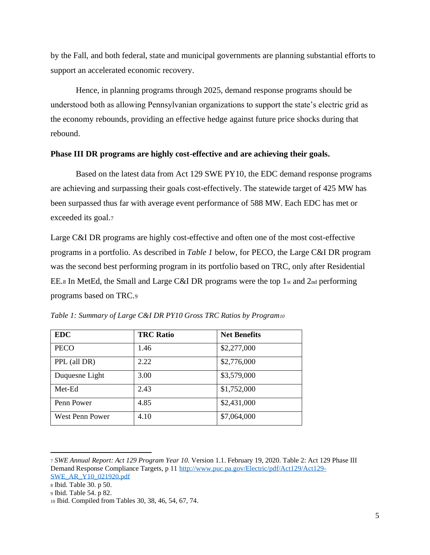by the Fall, and both federal, state and municipal governments are planning substantial efforts to support an accelerated economic recovery.

Hence, in planning programs through 2025, demand response programs should be understood both as allowing Pennsylvanian organizations to support the state's electric grid as the economy rebounds, providing an effective hedge against future price shocks during that rebound.

#### **Phase III DR programs are highly cost-effective and are achieving their goals.**

Based on the latest data from Act 129 SWE PY10, the EDC demand response programs are achieving and surpassing their goals cost-effectively. The statewide target of 425 MW has been surpassed thus far with average event performance of 588 MW. Each EDC has met or exceeded its goal.<sup>7</sup>

Large C&I DR programs are highly cost-effective and often one of the most cost-effective programs in a portfolio. As described in *Table 1* below, for PECO, the Large C&I DR program was the second best performing program in its portfolio based on TRC, only after Residential EE.8 In MetEd, the Small and Large C&I DR programs were the top 1st and  $2<sub>nd</sub>$  performing programs based on TRC.<sup>9</sup>

| <b>EDC</b>      | <b>TRC Ratio</b> | <b>Net Benefits</b> |  |  |  |
|-----------------|------------------|---------------------|--|--|--|
| <b>PECO</b>     | 1.46             | \$2,277,000         |  |  |  |
| PPL (all DR)    | 2.22             | \$2,776,000         |  |  |  |
| Duquesne Light  | 3.00             | \$3,579,000         |  |  |  |
| Met-Ed          | 2.43             | \$1,752,000         |  |  |  |
| Penn Power      | 4.85             | \$2,431,000         |  |  |  |
| West Penn Power | 4.10             | \$7,064,000         |  |  |  |

*Table 1: Summary of Large C&I DR PY10 Gross TRC Ratios by Program<sup>10</sup>*

- <sup>8</sup> Ibid. Table 30. p 50.
- <sup>9</sup> Ibid. Table 54. p 82.

<sup>7</sup> *SWE Annual Report: Act 129 Program Year 10.* Version 1.1. February 19, 2020. Table 2: Act 129 Phase III Demand Response Compliance Targets, p 11 [http://www.puc.pa.gov/Electric/pdf/Act129/Act129-](http://www.puc.pa.gov/Electric/pdf/Act129/Act129-SWE_AR_Y10_021920.pdf) [SWE\\_AR\\_Y10\\_021920.pdf](http://www.puc.pa.gov/Electric/pdf/Act129/Act129-SWE_AR_Y10_021920.pdf)

<sup>10</sup> Ibid. Compiled from Tables 30, 38, 46, 54, 67, 74.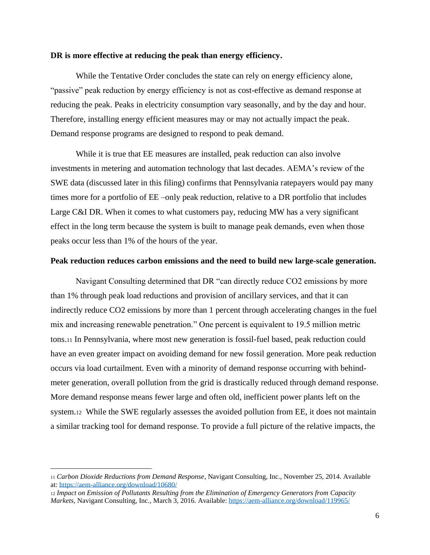#### **DR is more effective at reducing the peak than energy efficiency.**

While the Tentative Order concludes the state can rely on energy efficiency alone, "passive" peak reduction by energy efficiency is not as cost-effective as demand response at reducing the peak. Peaks in electricity consumption vary seasonally, and by the day and hour. Therefore, installing energy efficient measures may or may not actually impact the peak. Demand response programs are designed to respond to peak demand.

While it is true that EE measures are installed, peak reduction can also involve investments in metering and automation technology that last decades. AEMA's review of the SWE data (discussed later in this filing) confirms that Pennsylvania ratepayers would pay many times more for a portfolio of EE –only peak reduction, relative to a DR portfolio that includes Large C&I DR. When it comes to what customers pay, reducing MW has a very significant effect in the long term because the system is built to manage peak demands, even when those peaks occur less than 1% of the hours of the year.

#### **Peak reduction reduces carbon emissions and the need to build new large-scale generation.**

Navigant Consulting determined that DR "can directly reduce CO2 emissions by more than 1% through peak load reductions and provision of ancillary services, and that it can indirectly reduce CO2 emissions by more than 1 percent through accelerating changes in the fuel mix and increasing renewable penetration." One percent is equivalent to 19.5 million metric tons.<sup>11</sup> In Pennsylvania, where most new generation is fossil-fuel based, peak reduction could have an even greater impact on avoiding demand for new fossil generation. More peak reduction occurs via load curtailment. Even with a minority of demand response occurring with behindmeter generation, overall pollution from the grid is drastically reduced through demand response. More demand response means fewer large and often old, inefficient power plants left on the system.12 While the SWE regularly assesses the avoided pollution from EE, it does not maintain a similar tracking tool for demand response. To provide a full picture of the relative impacts, the

<sup>11</sup> *Carbon Dioxide Reductions from Demand Response*, Navigant Consulting, Inc., November 25, 2014. Available at[: https://aem-alliance.org/download/10680/](https://aem-alliance.org/download/10680/)

<sup>12</sup> *Impact on Emission of Pollutants Resulting from the Elimination of Emergency Generators from Capacity Markets*, Navigant Consulting, Inc., March 3, 2016. Available:<https://aem-alliance.org/download/119965/>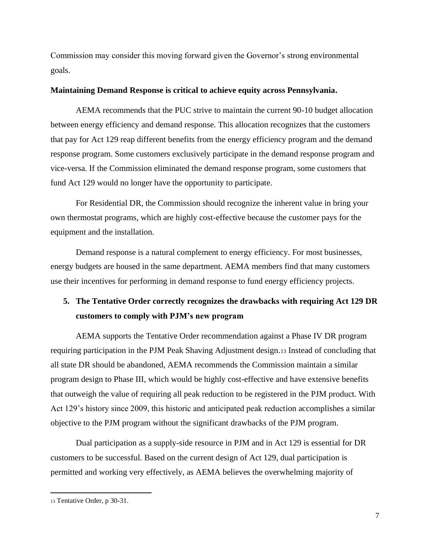Commission may consider this moving forward given the Governor's strong environmental goals.

#### **Maintaining Demand Response is critical to achieve equity across Pennsylvania.**

AEMA recommends that the PUC strive to maintain the current 90-10 budget allocation between energy efficiency and demand response. This allocation recognizes that the customers that pay for Act 129 reap different benefits from the energy efficiency program and the demand response program. Some customers exclusively participate in the demand response program and vice-versa. If the Commission eliminated the demand response program, some customers that fund Act 129 would no longer have the opportunity to participate.

For Residential DR, the Commission should recognize the inherent value in bring your own thermostat programs, which are highly cost-effective because the customer pays for the equipment and the installation.

Demand response is a natural complement to energy efficiency. For most businesses, energy budgets are housed in the same department. AEMA members find that many customers use their incentives for performing in demand response to fund energy efficiency projects.

# **5. The Tentative Order correctly recognizes the drawbacks with requiring Act 129 DR customers to comply with PJM's new program**

AEMA supports the Tentative Order recommendation against a Phase IV DR program requiring participation in the PJM Peak Shaving Adjustment design.<sup>13</sup> Instead of concluding that all state DR should be abandoned, AEMA recommends the Commission maintain a similar program design to Phase III, which would be highly cost-effective and have extensive benefits that outweigh the value of requiring all peak reduction to be registered in the PJM product. With Act 129's history since 2009, this historic and anticipated peak reduction accomplishes a similar objective to the PJM program without the significant drawbacks of the PJM program.

Dual participation as a supply-side resource in PJM and in Act 129 is essential for DR customers to be successful. Based on the current design of Act 129, dual participation is permitted and working very effectively, as AEMA believes the overwhelming majority of

<sup>13</sup> Tentative Order, p 30-31.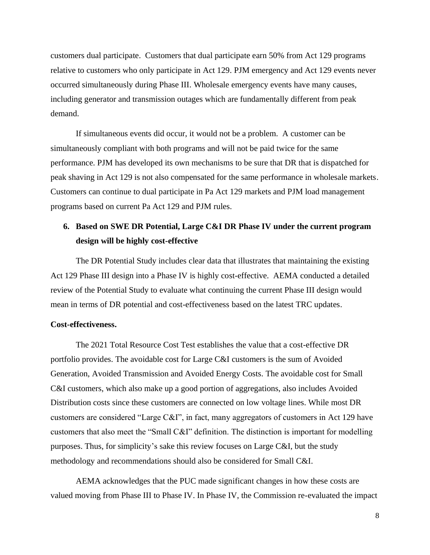customers dual participate. Customers that dual participate earn 50% from Act 129 programs relative to customers who only participate in Act 129. PJM emergency and Act 129 events never occurred simultaneously during Phase III. Wholesale emergency events have many causes, including generator and transmission outages which are fundamentally different from peak demand.

If simultaneous events did occur, it would not be a problem. A customer can be simultaneously compliant with both programs and will not be paid twice for the same performance. PJM has developed its own mechanisms to be sure that DR that is dispatched for peak shaving in Act 129 is not also compensated for the same performance in wholesale markets. Customers can continue to dual participate in Pa Act 129 markets and PJM load management programs based on current Pa Act 129 and PJM rules.

### **6. Based on SWE DR Potential, Large C&I DR Phase IV under the current program design will be highly cost-effective**

The DR Potential Study includes clear data that illustrates that maintaining the existing Act 129 Phase III design into a Phase IV is highly cost-effective. AEMA conducted a detailed review of the Potential Study to evaluate what continuing the current Phase III design would mean in terms of DR potential and cost-effectiveness based on the latest TRC updates.

#### **Cost-effectiveness.**

The 2021 Total Resource Cost Test establishes the value that a cost-effective DR portfolio provides. The avoidable cost for Large C&I customers is the sum of Avoided Generation, Avoided Transmission and Avoided Energy Costs. The avoidable cost for Small C&I customers, which also make up a good portion of aggregations, also includes Avoided Distribution costs since these customers are connected on low voltage lines. While most DR customers are considered "Large C&I", in fact, many aggregators of customers in Act 129 have customers that also meet the "Small C&I" definition. The distinction is important for modelling purposes. Thus, for simplicity's sake this review focuses on Large C&I, but the study methodology and recommendations should also be considered for Small C&I.

AEMA acknowledges that the PUC made significant changes in how these costs are valued moving from Phase III to Phase IV. In Phase IV, the Commission re-evaluated the impact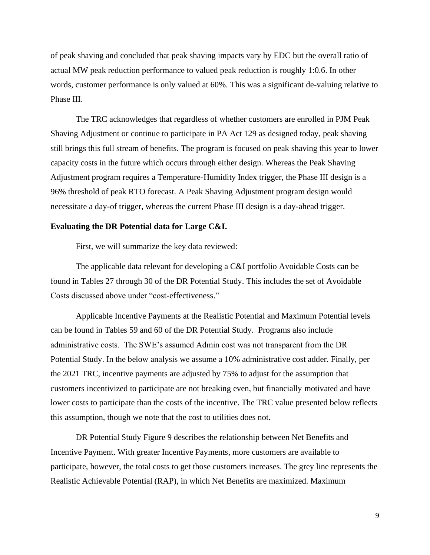of peak shaving and concluded that peak shaving impacts vary by EDC but the overall ratio of actual MW peak reduction performance to valued peak reduction is roughly 1:0.6. In other words, customer performance is only valued at 60%. This was a significant de-valuing relative to Phase III.

The TRC acknowledges that regardless of whether customers are enrolled in PJM Peak Shaving Adjustment or continue to participate in PA Act 129 as designed today, peak shaving still brings this full stream of benefits. The program is focused on peak shaving this year to lower capacity costs in the future which occurs through either design. Whereas the Peak Shaving Adjustment program requires a Temperature-Humidity Index trigger, the Phase III design is a 96% threshold of peak RTO forecast. A Peak Shaving Adjustment program design would necessitate a day-of trigger, whereas the current Phase III design is a day-ahead trigger.

#### **Evaluating the DR Potential data for Large C&I.**

First, we will summarize the key data reviewed:

The applicable data relevant for developing a C&I portfolio Avoidable Costs can be found in Tables 27 through 30 of the DR Potential Study. This includes the set of Avoidable Costs discussed above under "cost-effectiveness."

Applicable Incentive Payments at the Realistic Potential and Maximum Potential levels can be found in Tables 59 and 60 of the DR Potential Study. Programs also include administrative costs. The SWE's assumed Admin cost was not transparent from the DR Potential Study. In the below analysis we assume a 10% administrative cost adder. Finally, per the 2021 TRC, incentive payments are adjusted by 75% to adjust for the assumption that customers incentivized to participate are not breaking even, but financially motivated and have lower costs to participate than the costs of the incentive. The TRC value presented below reflects this assumption, though we note that the cost to utilities does not.

DR Potential Study Figure 9 describes the relationship between Net Benefits and Incentive Payment. With greater Incentive Payments, more customers are available to participate, however, the total costs to get those customers increases. The grey line represents the Realistic Achievable Potential (RAP), in which Net Benefits are maximized. Maximum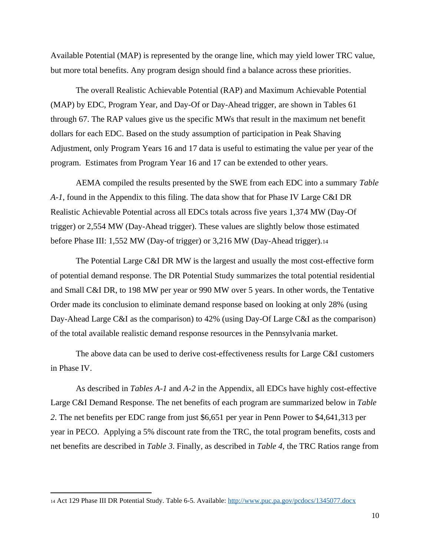Available Potential (MAP) is represented by the orange line, which may yield lower TRC value, but more total benefits. Any program design should find a balance across these priorities.

The overall Realistic Achievable Potential (RAP) and Maximum Achievable Potential (MAP) by EDC, Program Year, and Day-Of or Day-Ahead trigger, are shown in Tables 61 through 67. The RAP values give us the specific MWs that result in the maximum net benefit dollars for each EDC. Based on the study assumption of participation in Peak Shaving Adjustment, only Program Years 16 and 17 data is useful to estimating the value per year of the program. Estimates from Program Year 16 and 17 can be extended to other years.

AEMA compiled the results presented by the SWE from each EDC into a summary *Table A-1*, found in the Appendix to this filing. The data show that for Phase IV Large C&I DR Realistic Achievable Potential across all EDCs totals across five years 1,374 MW (Day-Of trigger) or 2,554 MW (Day-Ahead trigger). These values are slightly below those estimated before Phase III: 1,552 MW (Day-of trigger) or 3,216 MW (Day-Ahead trigger).<sup>14</sup>

The Potential Large C&I DR MW is the largest and usually the most cost-effective form of potential demand response. The DR Potential Study summarizes the total potential residential and Small C&I DR, to 198 MW per year or 990 MW over 5 years. In other words, the Tentative Order made its conclusion to eliminate demand response based on looking at only 28% (using Day-Ahead Large C&I as the comparison) to 42% (using Day-Of Large C&I as the comparison) of the total available realistic demand response resources in the Pennsylvania market.

The above data can be used to derive cost-effectiveness results for Large C&I customers in Phase IV.

As described in *Tables A-1* and *A-2* in the Appendix, all EDCs have highly cost-effective Large C&I Demand Response. The net benefits of each program are summarized below in *Table 2*. The net benefits per EDC range from just \$6,651 per year in Penn Power to \$4,641,313 per year in PECO. Applying a 5% discount rate from the TRC, the total program benefits, costs and net benefits are described in *Table 3*. Finally, as described in *Table 4*, the TRC Ratios range from

<sup>14</sup> Act 129 Phase III DR Potential Study. Table 6-5. Available[: http://www.puc.pa.gov/pcdocs/1345077.docx](http://www.puc.pa.gov/pcdocs/1345077.docx)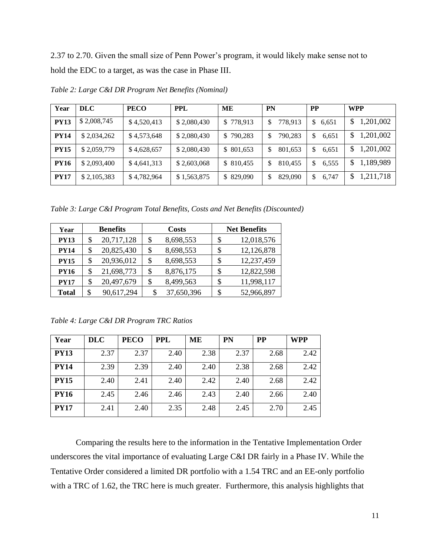2.37 to 2.70. Given the small size of Penn Power's program, it would likely make sense not to hold the EDC to a target, as was the case in Phase III.

| Year        | DLC         | <b>PECO</b> | <b>PPL</b>  | ME         | <b>PN</b>    | <b>PP</b>   | <b>WPP</b>      |  |  |
|-------------|-------------|-------------|-------------|------------|--------------|-------------|-----------------|--|--|
| <b>PY13</b> | \$2,008,745 | \$4,520,413 | \$2,080,430 | \$778,913  | 778,913      | 6,651<br>S. | 1,201,002<br>\$ |  |  |
| <b>PY14</b> | \$2,034,262 | \$4,573,648 | \$2,080,430 | \$790,283  | 790,283<br>S | \$<br>6,651 | 1,201,002<br>\$ |  |  |
| <b>PY15</b> | \$2,059,779 | \$4,628,657 | \$2,080,430 | \$801,653  | 801,653<br>S | 6,651<br>S  | 1,201,002<br>\$ |  |  |
| <b>PY16</b> | \$2,093,400 | \$4,641,313 | \$2,603,068 | \$ 810,455 | 810,455<br>S | \$<br>6,555 | 1,189,989<br>\$ |  |  |
| <b>PY17</b> | \$2,105,383 | \$4,782,964 | \$1,563,875 | \$829,090  | 829,090<br>S | 6,747<br>\$ | 1,211,718<br>\$ |  |  |

*Table 2: Large C&I DR Program Net Benefits (Nominal)*

*Table 3: Large C&I Program Total Benefits, Costs and Net Benefits (Discounted)*

| Year         |    | <b>Benefits</b> |    | <b>Costs</b> |    | <b>Net Benefits</b> |  |  |  |
|--------------|----|-----------------|----|--------------|----|---------------------|--|--|--|
| <b>PY13</b>  | S  | 20,717,128      | S  | 8,698,553    | \$ | 12,018,576          |  |  |  |
| <b>PY14</b>  | \$ | 20,825,430      | \$ | 8,698,553    | \$ | 12,126,878          |  |  |  |
| <b>PY15</b>  | \$ | 20,936,012      | \$ | 8,698,553    | S  | 12,237,459          |  |  |  |
| <b>PY16</b>  | \$ | 21,698,773      | \$ | 8,876,175    | \$ | 12,822,598          |  |  |  |
| <b>PY17</b>  | \$ | 20,497,679      | \$ | 8,499,563    | \$ | 11,998,117          |  |  |  |
| <b>Total</b> | \$ | 90,617,294      | \$ | 37,650,396   | \$ | 52,966,897          |  |  |  |

*Table 4: Large C&I DR Program TRC Ratios*

| Year        | <b>DLC</b> | <b>PECO</b> | <b>PPL</b> | MЕ   | <b>PN</b> | <b>PP</b> | <b>WPP</b> |
|-------------|------------|-------------|------------|------|-----------|-----------|------------|
| <b>PY13</b> | 2.37       | 2.37        | 2.40       | 2.38 | 2.37      | 2.68      | 2.42       |
| <b>PY14</b> | 2.39       | 2.39        | 2.40       | 2.40 | 2.38      | 2.68      | 2.42       |
| <b>PY15</b> | 2.40       | 2.41        | 2.40       | 2.42 | 2.40      | 2.68      | 2.42       |
| <b>PY16</b> | 2.45       | 2.46        | 2.46       | 2.43 | 2.40      | 2.66      | 2.40       |
| <b>PY17</b> | 2.41       | 2.40        | 2.35       | 2.48 | 2.45      | 2.70      | 2.45       |

Comparing the results here to the information in the Tentative Implementation Order underscores the vital importance of evaluating Large C&I DR fairly in a Phase IV. While the Tentative Order considered a limited DR portfolio with a 1.54 TRC and an EE-only portfolio with a TRC of 1.62, the TRC here is much greater. Furthermore, this analysis highlights that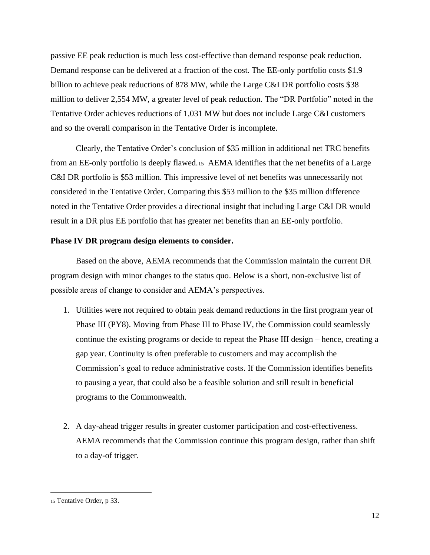passive EE peak reduction is much less cost-effective than demand response peak reduction. Demand response can be delivered at a fraction of the cost. The EE-only portfolio costs \$1.9 billion to achieve peak reductions of 878 MW, while the Large C&I DR portfolio costs \$38 million to deliver 2,554 MW, a greater level of peak reduction. The "DR Portfolio" noted in the Tentative Order achieves reductions of 1,031 MW but does not include Large C&I customers and so the overall comparison in the Tentative Order is incomplete.

Clearly, the Tentative Order's conclusion of \$35 million in additional net TRC benefits from an EE-only portfolio is deeply flawed.15 AEMA identifies that the net benefits of a Large C&I DR portfolio is \$53 million. This impressive level of net benefits was unnecessarily not considered in the Tentative Order. Comparing this \$53 million to the \$35 million difference noted in the Tentative Order provides a directional insight that including Large C&I DR would result in a DR plus EE portfolio that has greater net benefits than an EE-only portfolio.

#### **Phase IV DR program design elements to consider.**

Based on the above, AEMA recommends that the Commission maintain the current DR program design with minor changes to the status quo. Below is a short, non-exclusive list of possible areas of change to consider and AEMA's perspectives.

- 1. Utilities were not required to obtain peak demand reductions in the first program year of Phase III (PY8). Moving from Phase III to Phase IV, the Commission could seamlessly continue the existing programs or decide to repeat the Phase III design – hence, creating a gap year. Continuity is often preferable to customers and may accomplish the Commission's goal to reduce administrative costs. If the Commission identifies benefits to pausing a year, that could also be a feasible solution and still result in beneficial programs to the Commonwealth.
- 2. A day-ahead trigger results in greater customer participation and cost-effectiveness. AEMA recommends that the Commission continue this program design, rather than shift to a day-of trigger.

<sup>15</sup> Tentative Order, p 33.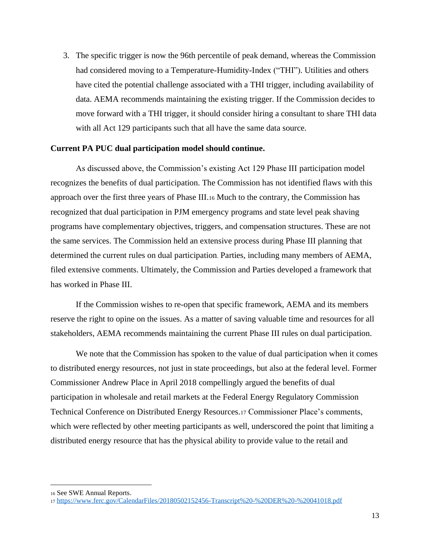3. The specific trigger is now the 96th percentile of peak demand, whereas the Commission had considered moving to a Temperature-Humidity-Index ("THI"). Utilities and others have cited the potential challenge associated with a THI trigger, including availability of data. AEMA recommends maintaining the existing trigger. If the Commission decides to move forward with a THI trigger, it should consider hiring a consultant to share THI data with all Act 129 participants such that all have the same data source.

#### **Current PA PUC dual participation model should continue.**

As discussed above, the Commission's existing Act 129 Phase III participation model recognizes the benefits of dual participation. The Commission has not identified flaws with this approach over the first three years of Phase III.<sup>16</sup> Much to the contrary, the Commission has recognized that dual participation in PJM emergency programs and state level peak shaving programs have complementary objectives, triggers, and compensation structures. These are not the same services. The Commission held an extensive process during Phase III planning that determined the current rules on dual participation. Parties, including many members of AEMA, filed extensive comments. Ultimately, the Commission and Parties developed a framework that has worked in Phase III.

If the Commission wishes to re-open that specific framework, AEMA and its members reserve the right to opine on the issues. As a matter of saving valuable time and resources for all stakeholders, AEMA recommends maintaining the current Phase III rules on dual participation.

We note that the Commission has spoken to the value of dual participation when it comes to distributed energy resources, not just in state proceedings, but also at the federal level. Former Commissioner Andrew Place in April 2018 compellingly argued the benefits of dual participation in wholesale and retail markets at the Federal Energy Regulatory Commission Technical Conference on Distributed Energy Resources.<sup>17</sup> Commissioner Place's comments, which were reflected by other meeting participants as well, underscored the point that limiting a distributed energy resource that has the physical ability to provide value to the retail and

<sup>16</sup> See SWE Annual Reports.

<sup>17</sup> <https://www.ferc.gov/CalendarFiles/20180502152456-Transcript%20-%20DER%20-%20041018.pdf>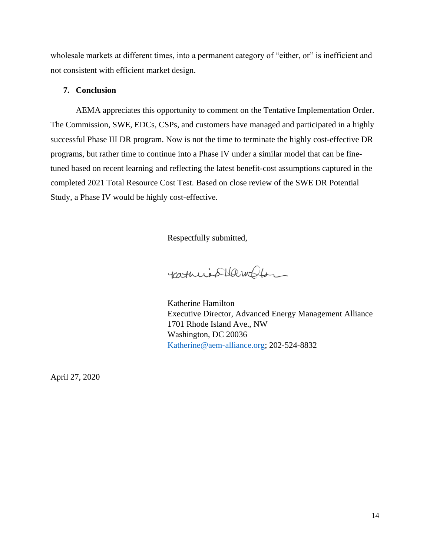wholesale markets at different times, into a permanent category of "either, or" is inefficient and not consistent with efficient market design.

### **7. Conclusion**

AEMA appreciates this opportunity to comment on the Tentative Implementation Order. The Commission, SWE, EDCs, CSPs, and customers have managed and participated in a highly successful Phase III DR program. Now is not the time to terminate the highly cost-effective DR programs, but rather time to continue into a Phase IV under a similar model that can be finetuned based on recent learning and reflecting the latest benefit-cost assumptions captured in the completed 2021 Total Resource Cost Test. Based on close review of the SWE DR Potential Study, a Phase IV would be highly cost-effective.

Respectfully submitted,

catheris Hamblon

Katherine Hamilton Executive Director, Advanced Energy Management Alliance 1701 Rhode Island Ave., NW Washington, DC 20036 [Katherine@aem-alliance.org;](mailto:Katherine@aem-alliance.org) 202-524-8832

April 27, 2020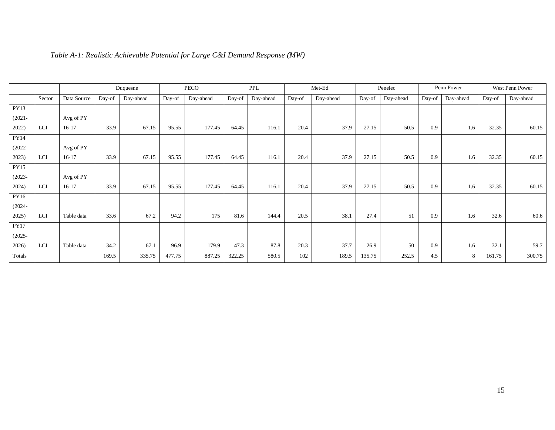|             |            |             |        | Duquesne  |        | PECO      |        | PPL       |        | Met-Ed    |        | Penelec   |        | Penn Power |        | West Penn Power |  |
|-------------|------------|-------------|--------|-----------|--------|-----------|--------|-----------|--------|-----------|--------|-----------|--------|------------|--------|-----------------|--|
|             | Sector     | Data Source | Day-of | Day-ahead | Day-of | Day-ahead | Day-of | Day-ahead | Day-of | Day-ahead | Day-of | Day-ahead | Day-of | Day-ahead  | Day-of | Day-ahead       |  |
| PY13        |            |             |        |           |        |           |        |           |        |           |        |           |        |            |        |                 |  |
| $(2021 -$   |            | Avg of PY   |        |           |        |           |        |           |        |           |        |           |        |            |        |                 |  |
| 2022)       | LCI        | $16-17$     | 33.9   | 67.15     | 95.55  | 177.45    | 64.45  | 116.1     | 20.4   | 37.9      | 27.15  | 50.5      | 0.9    | 1.6        | 32.35  | 60.15           |  |
| PY14        |            |             |        |           |        |           |        |           |        |           |        |           |        |            |        |                 |  |
| $(2022 -$   |            | Avg of PY   |        |           |        |           |        |           |        |           |        |           |        |            |        |                 |  |
| 2023)       | LCI        | $16-17$     | 33.9   | 67.15     | 95.55  | 177.45    | 64.45  | 116.1     | 20.4   | 37.9      | 27.15  | 50.5      | 0.9    | 1.6        | 32.35  | 60.15           |  |
| <b>PY15</b> |            |             |        |           |        |           |        |           |        |           |        |           |        |            |        |                 |  |
| $(2023 -$   |            | Avg of PY   |        |           |        |           |        |           |        |           |        |           |        |            |        |                 |  |
| 2024)       | <b>LCI</b> | $16-17$     | 33.9   | 67.15     | 95.55  | 177.45    | 64.45  | 116.1     | 20.4   | 37.9      | 27.15  | 50.5      | 0.9    | 1.6        | 32.35  | 60.15           |  |
| PY16        |            |             |        |           |        |           |        |           |        |           |        |           |        |            |        |                 |  |
| $(2024 -$   |            |             |        |           |        |           |        |           |        |           |        |           |        |            |        |                 |  |
| 2025)       | LCI        | Table data  | 33.6   | 67.2      | 94.2   | 175       | 81.6   | 144.4     | 20.5   | 38.1      | 27.4   | 51        | 0.9    | 1.6        | 32.6   | 60.6            |  |
| <b>PY17</b> |            |             |        |           |        |           |        |           |        |           |        |           |        |            |        |                 |  |
| $(2025 -$   |            |             |        |           |        |           |        |           |        |           |        |           |        |            |        |                 |  |
| 2026)       | LCI        | Table data  | 34.2   | 67.1      | 96.9   | 179.9     | 47.3   | 87.8      | 20.3   | 37.7      | 26.9   | 50        | 0.9    | 1.6        | 32.1   | 59.7            |  |
| Totals      |            |             | 169.5  | 335.75    | 477.75 | 887.25    | 322.25 | 580.5     | 102    | 189.5     | 135.75 | 252.5     | 4.5    | 8          | 161.75 | 300.75          |  |

# *Table A-1: Realistic Achievable Potential for Large C&I Demand Response (MW)*